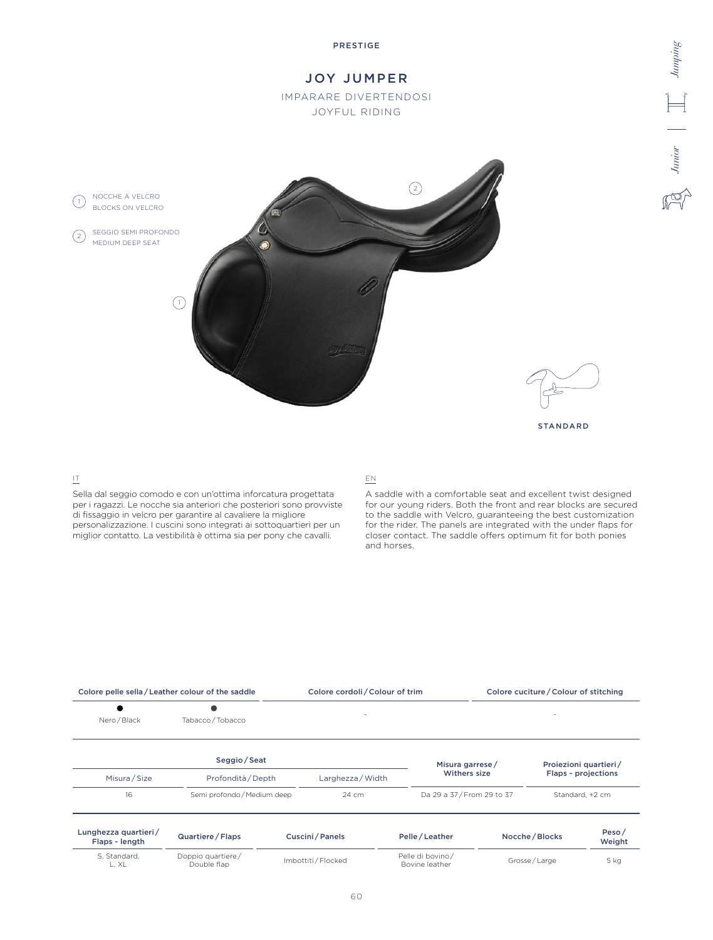

#### IT

Sella dal seggio comodo e con un'ottima inforcatura progettata per i ragazzi. Le nocche sia anteriori che posteriori sono provviste di fissaggio in velcro per garantire al cavaliere la migliore personalizzazione. I cuscini sono integrati ai sottoquartieri per un miglior contatto. La vestibilità è ottima sia per pony che cavalli.

## EN

A saddle with a comfortable seat and excellent twist designed for our young riders. Both the front and rear blocks are secured to the saddle with Velcro, guaranteeing the best customization for the rider. The panels are integrated with the under flaps for closer contact. The saddle offers optimum fit for both ponies and horses.

| Colore pelle sella/Leather colour of the saddle |                                  |                     | Colore cordoli / Colour of trim |                                    | Colore cuciture / Colour of stitching |                 |                            |  |
|-------------------------------------------------|----------------------------------|---------------------|---------------------------------|------------------------------------|---------------------------------------|-----------------|----------------------------|--|
| Nero / Black                                    | Tabacco / Tobacco                |                     | ٠                               |                                    |                                       |                 |                            |  |
|                                                 | Seggio/Seat                      |                     |                                 | Misura garrese/                    |                                       |                 | Proiezioni quartieri/      |  |
| Misura / Size                                   | Profondità / Depth               |                     | Larghezza / Width               |                                    | Withers size                          |                 | <b>Flaps - projections</b> |  |
| 16                                              | Semi profondo / Medium deep      |                     | $24 \text{ cm}$                 |                                    | Da 29 a 37/From 29 to 37              |                 | Standard, +2 cm            |  |
| Lunghezza quartieri/<br>Flaps - length          | Quartiere / Flaps                |                     | Cuscini / Panels                | Pelle/Leather                      |                                       | Nocche / Blocks | Peso/<br>Weight            |  |
| S. Standard.<br>L, XL                           | Doppio quartiere/<br>Double flap | Imbottiti / Flocked |                                 | Pelle di bovino/<br>Bovine leather | Grosse/Large                          |                 | 5 kg                       |  |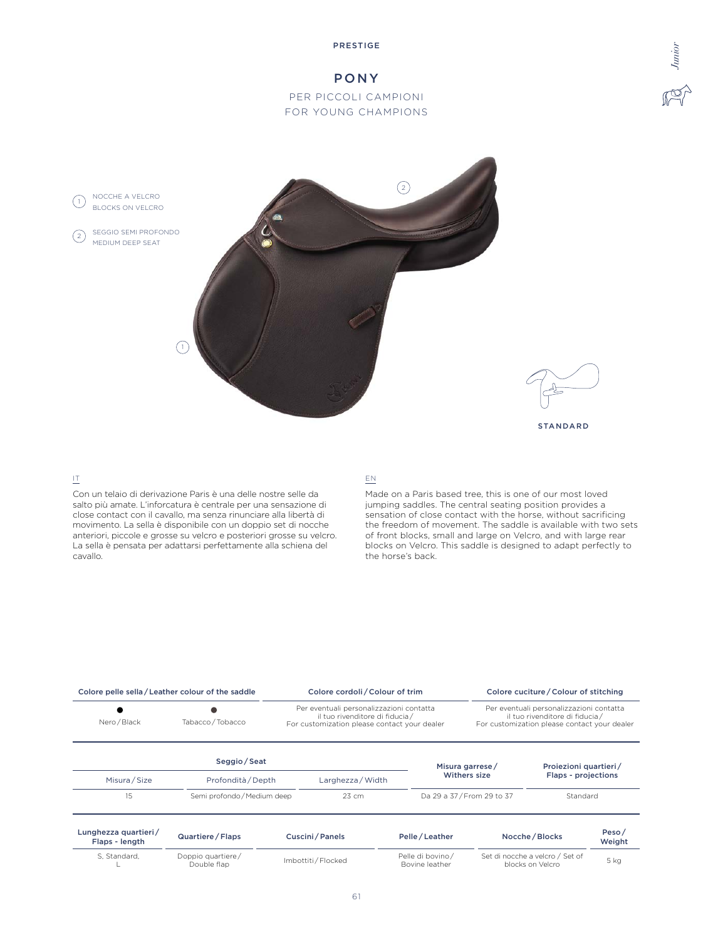#### PRESTIGE

# PONY

# PER PICCOLI CAMPIONI FOR YOUNG CHAMPIONS



## IT

Con un telaio di derivazione Paris è una delle nostre selle da salto più amate. L'inforcatura è centrale per una sensazione di close contact con il cavallo, ma senza rinunciare alla libertà di movimento. La sella è disponibile con un doppio set di nocche anteriori, piccole e grosse su velcro e posteriori grosse su velcro. La sella è pensata per adattarsi perfettamente alla schiena del cavallo.

## EN

Made on a Paris based tree, this is one of our most loved jumping saddles. The central seating position provides a sensation of close contact with the horse, without sacrificing the freedom of movement. The saddle is available with two sets of front blocks, small and large on Velcro, and with large rear blocks on Velcro. This saddle is designed to adapt perfectly to the horse's back.

*Junior*

| Colore pelle sella/Leather colour of the saddle |                                  |  | Colore cordoli / Colour of trim                                                                                            |                                    |                                                     | Colore cuciture / Colour of stitching                                                                                      |                     |  |
|-------------------------------------------------|----------------------------------|--|----------------------------------------------------------------------------------------------------------------------------|------------------------------------|-----------------------------------------------------|----------------------------------------------------------------------------------------------------------------------------|---------------------|--|
| Nero / Black                                    | Tabacco / Tobacco                |  | Per eventuali personalizzazioni contatta<br>il tuo rivenditore di fiducia/<br>For customization please contact your dealer |                                    |                                                     | Per eventuali personalizzazioni contatta<br>il tuo rivenditore di fiducia/<br>For customization please contact your dealer |                     |  |
|                                                 | Seggio / Seat                    |  |                                                                                                                            |                                    | Misura garrese/                                     | Proiezioni quartieri/                                                                                                      |                     |  |
| Misura / Size                                   | Profondità / Depth               |  | Larghezza / Width                                                                                                          |                                    | Withers size                                        |                                                                                                                            | Flaps - projections |  |
| 15                                              | Semi profondo / Medium deep      |  | 23 cm                                                                                                                      |                                    | Da 29 a 37/From 29 to 37                            | Standard                                                                                                                   |                     |  |
| Lunghezza quartieri/<br>Flaps - length          | Quartiere / Flaps                |  | Cuscini/Panels                                                                                                             | Pelle/Leather                      | Nocche / Blocks                                     |                                                                                                                            | Peso $/$<br>Weight  |  |
| S. Standard,                                    | Doppio quartiere/<br>Double flap |  | Imbottiti / Flocked                                                                                                        | Pelle di bovino/<br>Bovine leather | Set di nocche a velcro / Set of<br>blocks on Velcro |                                                                                                                            | 5 kg                |  |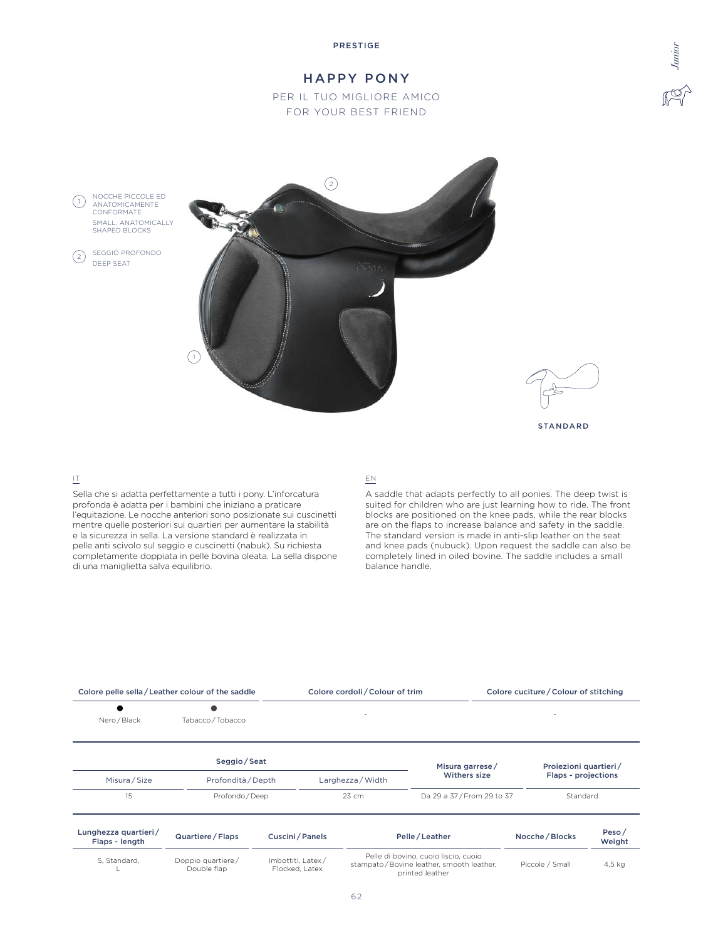#### PRESTIGE

# HAPPY PONY

# PER IL TUO MIGLIORE AMICO FOR YOUR BEST FRIEND

NOCCHE PICCOLE ED ANATOMICAMENTE CONFORMATE SMALL, ANATOMICALLY SHAPED BLOCKS  $(1)$ 

SEGGIO PROFONDO DEEP SEAT  $\binom{2}{2}$ 





*Junior*

STANDARD

## IT

Sella che si adatta perfettamente a tutti i pony. L'inforcatura profonda è adatta per i bambini che iniziano a praticare l'equitazione. Le nocche anteriori sono posizionate sui cuscinetti mentre quelle posteriori sui quartieri per aumentare la stabilità e la sicurezza in sella. La versione standard è realizzata in pelle anti scivolo sul seggio e cuscinetti (nabuk). Su richiesta completamente doppiata in pelle bovina oleata. La sella dispone di una maniglietta salva equilibrio.

#### EN

A saddle that adapts perfectly to all ponies. The deep twist is suited for children who are just learning how to ride. The front blocks are positioned on the knee pads, while the rear blocks are on the flaps to increase balance and safety in the saddle. The standard version is made in anti-slip leather on the seat and knee pads (nubuck). Upon request the saddle can also be completely lined in oiled bovine. The saddle includes a small balance handle.

| Colore pelle sella / Leather colour of the saddle |                                  |                                     | Colore cordoli / Colour of trim   |                                                                                                     | Colore cuciture / Colour of stitching |                 |  |
|---------------------------------------------------|----------------------------------|-------------------------------------|-----------------------------------|-----------------------------------------------------------------------------------------------------|---------------------------------------|-----------------|--|
| Nero / Black                                      | Tabacco / Tobacco                |                                     | $\overline{\phantom{a}}$          |                                                                                                     |                                       |                 |  |
|                                                   | Seggio/Seat                      |                                     |                                   | Misura garrese/                                                                                     | Proiezioni quartieri/                 |                 |  |
| Misura / Size                                     | Profondità / Depth               |                                     | Larghezza / Width                 | Withers size                                                                                        | Flaps - projections                   |                 |  |
| 15                                                | Profondo / Deep                  |                                     | 23 cm<br>Da 29 a 37/From 29 to 37 |                                                                                                     |                                       | Standard        |  |
| Lunghezza quartieri/<br>Flaps - length            | Quartiere / Flaps                | Cuscini / Panels                    |                                   | Pelle / Leather                                                                                     | Nocche / Blocks                       | Peso/<br>Weight |  |
| S. Standard.                                      | Doppio quartiere/<br>Double flap | Imbottiti, Latex/<br>Flocked, Latex |                                   | Pelle di bovino, cuoio liscio, cuoio<br>stampato/Bovine leather, smooth leather,<br>printed leather | Piccole / Small                       | 4,5 kg          |  |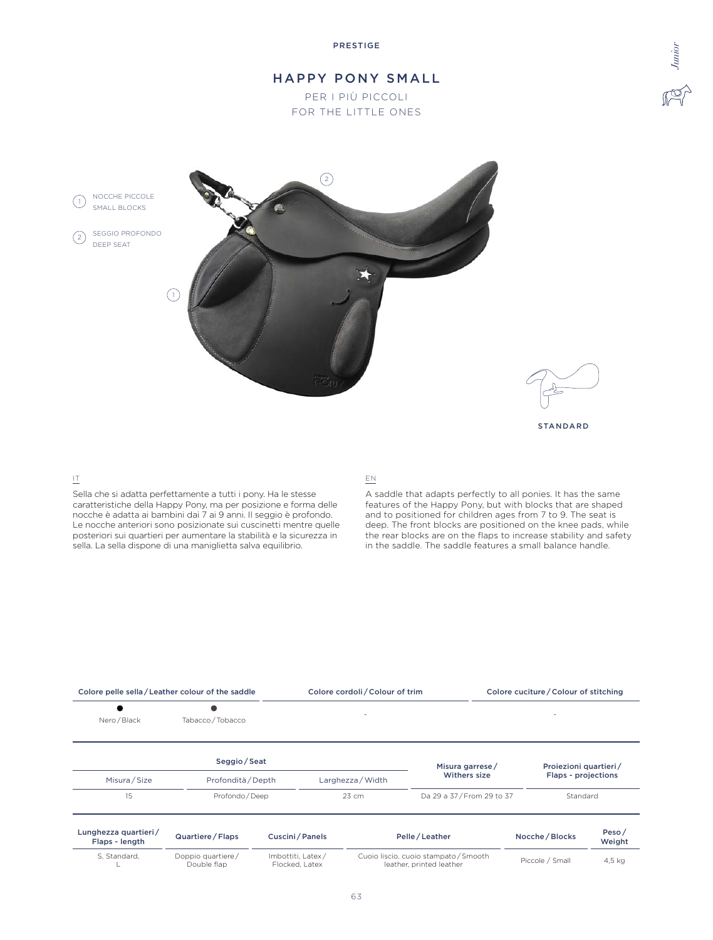# HAPPY PONY SMALL

PER I PIÙ PICCOLI FOR THE LITTLE ONES

NOCCHE PICCOLE (1) NOCCHE FICCO

SEGGIO PROFONDO DEEP SEAT  $\left( 2\right)$ 





*Junior*

STANDARD

## IT

Sella che si adatta perfettamente a tutti i pony. Ha le stesse caratteristiche della Happy Pony, ma per posizione e forma delle nocche è adatta ai bambini dai 7 ai 9 anni. Il seggio è profondo. Le nocche anteriori sono posizionate sui cuscinetti mentre quelle posteriori sui quartieri per aumentare la stabilità e la sicurezza in sella. La sella dispone di una maniglietta salva equilibrio.

## EN

A saddle that adapts perfectly to all ponies. It has the same features of the Happy Pony, but with blocks that are shaped and to positioned for children ages from 7 to 9. The seat is deep. The front blocks are positioned on the knee pads, while the rear blocks are on the flaps to increase stability and safety in the saddle. The saddle features a small balance handle.

| Colore pelle sella/Leather colour of the saddle |                                  |                                     | Colore cordoli / Colour of trim |                                                                   | Colore cuciture / Colour of stitching |                            |  |
|-------------------------------------------------|----------------------------------|-------------------------------------|---------------------------------|-------------------------------------------------------------------|---------------------------------------|----------------------------|--|
| Nero / Black                                    | u.<br>Tabacco / Tobacco          |                                     |                                 |                                                                   |                                       |                            |  |
|                                                 | Seggio / Seat                    |                                     |                                 | Misura garrese/                                                   | Proiezioni quartieri/                 |                            |  |
| Misura / Size                                   | Profondità / Depth               |                                     | Larghezza / Width               | Withers size                                                      |                                       | <b>Flaps - projections</b> |  |
| 15<br>Profondo / Deep                           |                                  |                                     | 23 cm                           | Da 29 a 37/From 29 to 37                                          | Standard                              |                            |  |
| Lunghezza quartieri/<br>Flaps - length          | Quartiere / Flaps                | Cuscini / Panels                    |                                 | Pelle / Leather                                                   | Nocche / Blocks                       | Peso/<br>Weight            |  |
| S. Standard.                                    | Doppio quartiere/<br>Double flap | Imbottiti, Latex/<br>Flocked, Latex |                                 | Cuoio liscio, cuoio stampato / Smooth<br>leather, printed leather | Piccole / Small                       | 4,5 kg                     |  |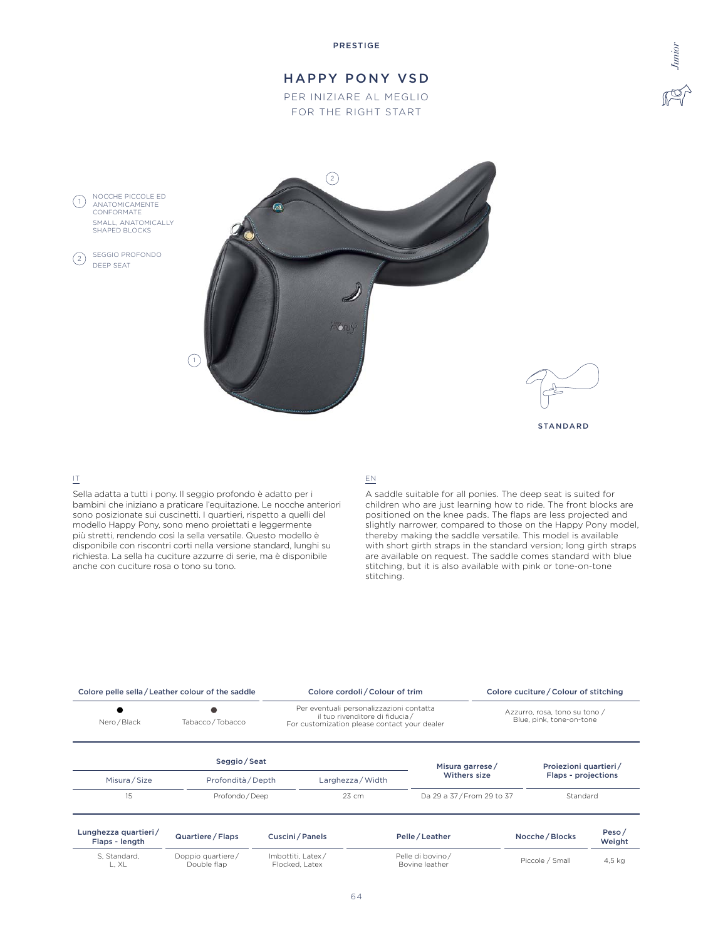PRESTIGE

# HAPPY PONY VSD

PER INIZIARE AL MEGLIO FOR THE RIGHT START







STANDARD

## IT

DEEP SEAT

 $(1)$ 

 $\left( 2\right)$ 

Sella adatta a tutti i pony. Il seggio profondo è adatto per i bambini che iniziano a praticare l'equitazione. Le nocche anteriori sono posizionate sui cuscinetti. I quartieri, rispetto a quelli del modello Happy Pony, sono meno proiettati e leggermente più stretti, rendendo così la sella versatile. Questo modello è disponibile con riscontri corti nella versione standard, lunghi su richiesta. La sella ha cuciture azzurre di serie, ma è disponibile anche con cuciture rosa o tono su tono.

#### EN

A saddle suitable for all ponies. The deep seat is suited for children who are just learning how to ride. The front blocks are positioned on the knee pads. The flaps are less projected and slightly narrower, compared to those on the Happy Pony model, thereby making the saddle versatile. This model is available with short girth straps in the standard version; long girth straps are available on request. The saddle comes standard with blue stitching, but it is also available with pink or tone-on-tone stitching.

| Colore pelle sella/Leather colour of the saddle |                                  |                                     | Colore cordoli / Colour of trim                                                                                            |                                    |  | Colore cuciture / Colour of stitching |                                                           |  |
|-------------------------------------------------|----------------------------------|-------------------------------------|----------------------------------------------------------------------------------------------------------------------------|------------------------------------|--|---------------------------------------|-----------------------------------------------------------|--|
| Nero / Black                                    | Tabacco / Tobacco                |                                     | Per eventuali personalizzazioni contatta<br>il tuo rivenditore di fiducia/<br>For customization please contact your dealer |                                    |  |                                       | Azzurro, rosa, tono su tono /<br>Blue, pink, tone-on-tone |  |
|                                                 | Seggio/Seat                      |                                     |                                                                                                                            | Misura garrese/                    |  | Proiezioni quartieri/                 |                                                           |  |
| Misura / Size                                   | Profondità / Depth               |                                     | Larghezza / Width                                                                                                          | Withers size                       |  | <b>Flaps - projections</b>            |                                                           |  |
| 15                                              | Profondo / Deep                  |                                     | 23 cm                                                                                                                      | Da 29 a 37/From 29 to 37           |  | Standard                              |                                                           |  |
| Lunghezza quartieri/<br>Flaps - length          | Quartiere / Flaps                | Cuscini/Panels                      |                                                                                                                            | Pelle / Leather                    |  | Nocche / Blocks                       | Peso/<br>Weight                                           |  |
| S. Standard.<br>L. XL                           | Doppio quartiere/<br>Double flap | Imbottiti, Latex/<br>Flocked, Latex |                                                                                                                            | Pelle di bovino/<br>Bovine leather |  | Piccole / Small                       | 4,5 kg                                                    |  |